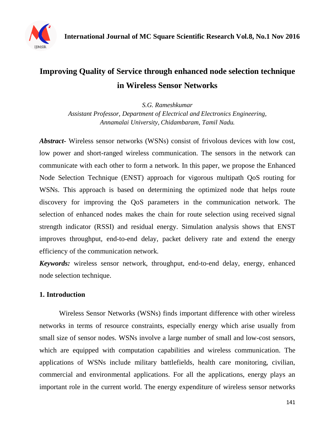

# **Improving Quality of Service through enhanced node selection technique in Wireless Sensor Networks**

*S.G. Rameshkumar Assistant Professor, Department of Electrical and Electronics Engineering, Annamalai University, Chidambaram, Tamil Nadu.*

*Abstract-* Wireless sensor networks (WSNs) consist of frivolous devices with low cost, low power and short-ranged wireless communication. The sensors in the network can communicate with each other to form a network. In this paper, we propose the Enhanced Node Selection Technique (ENST) approach for vigorous multipath QoS routing for WSNs. This approach is based on determining the optimized node that helps route discovery for improving the QoS parameters in the communication network. The selection of enhanced nodes makes the chain for route selection using received signal strength indicator (RSSI) and residual energy. Simulation analysis shows that ENST improves throughput, end-to-end delay, packet delivery rate and extend the energy efficiency of the communication network.

*Keywords:* wireless sensor network, throughput, end-to-end delay, energy, enhanced node selection technique.

# **1. Introduction**

Wireless Sensor Networks (WSNs) finds important difference with other wireless networks in terms of resource constraints, especially energy which arise usually from small size of sensor nodes. WSNs involve a large number of small and low-cost sensors, which are equipped with computation capabilities and wireless communication. The applications of WSNs include military battlefields, health care monitoring, civilian, commercial and environmental applications. For all the applications, energy plays an important role in the current world. The energy expenditure of wireless sensor networks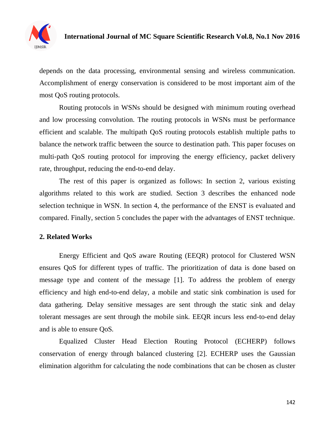

depends on the data processing, environmental sensing and wireless communication. Accomplishment of energy conservation is considered to be most important aim of the most QoS routing protocols.

Routing protocols in WSNs should be designed with minimum routing overhead and low processing convolution. The routing protocols in WSNs must be performance efficient and scalable. The multipath QoS routing protocols establish multiple paths to balance the network traffic between the source to destination path. This paper focuses on multi-path QoS routing protocol for improving the energy efficiency, packet delivery rate, throughput, reducing the end-to-end delay.

The rest of this paper is organized as follows: In section 2, various existing algorithms related to this work are studied. Section 3 describes the enhanced node selection technique in WSN. In section 4, the performance of the ENST is evaluated and compared. Finally, section 5 concludes the paper with the advantages of ENST technique.

# **2. Related Works**

Energy Efficient and QoS aware Routing (EEQR) protocol for Clustered WSN ensures QoS for different types of traffic. The prioritization of data is done based on message type and content of the message [1]. To address the problem of energy efficiency and high end-to-end delay, a mobile and static sink combination is used for data gathering. Delay sensitive messages are sent through the static sink and delay tolerant messages are sent through the mobile sink. EEQR incurs less end-to-end delay and is able to ensure QoS.

Equalized Cluster Head Election Routing Protocol (ECHERP) follows conservation of energy through balanced clustering [2]. ECHERP uses the Gaussian elimination algorithm for calculating the node combinations that can be chosen as cluster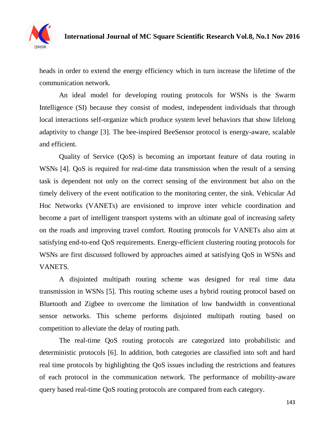

heads in order to extend the energy efficiency which in turn increase the lifetime of the communication network.

An ideal model for developing routing protocols for WSNs is the Swarm Intelligence (SI) because they consist of modest, independent individuals that through local interactions self-organize which produce system level behaviors that show lifelong adaptivity to change [3]. The bee-inspired BeeSensor protocol is energy-aware, scalable and efficient.

Quality of Service (QoS) is becoming an important feature of data routing in WSNs [4]. QoS is required for real-time data transmission when the result of a sensing task is dependent not only on the correct sensing of the environment but also on the timely delivery of the event notification to the monitoring center, the sink. Vehicular Ad Hoc Networks (VANETs) are envisioned to improve inter vehicle coordination and become a part of intelligent transport systems with an ultimate goal of increasing safety on the roads and improving travel comfort. Routing protocols for VANETs also aim at satisfying end-to-end QoS requirements. Energy-efficient clustering routing protocols for WSNs are first discussed followed by approaches aimed at satisfying QoS in WSNs and VANETS.

A disjointed multipath routing scheme was designed for real time data transmission in WSNs [5]. This routing scheme uses a hybrid routing protocol based on Bluetooth and Zigbee to overcome the limitation of low bandwidth in conventional sensor networks. This scheme performs disjointed multipath routing based on competition to alleviate the delay of routing path.

The real-time QoS routing protocols are categorized into probabilistic and deterministic protocols [6]. In addition, both categories are classified into soft and hard real time protocols by highlighting the QoS issues including the restrictions and features of each protocol in the communication network. The performance of mobility-aware query based real-time QoS routing protocols are compared from each category.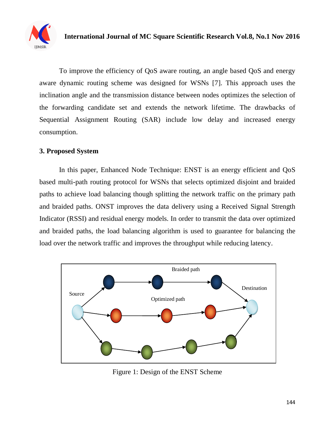

To improve the efficiency of QoS aware routing, an angle based QoS and energy aware dynamic routing scheme was designed for WSNs [7]. This approach uses the inclination angle and the transmission distance between nodes optimizes the selection of the forwarding candidate set and extends the network lifetime. The drawbacks of Sequential Assignment Routing (SAR) include low delay and increased energy consumption.

# **3. Proposed System**

In this paper, Enhanced Node Technique: ENST is an energy efficient and QoS based multi-path routing protocol for WSNs that selects optimized disjoint and braided paths to achieve load balancing though splitting the network traffic on the primary path and braided paths. ONST improves the data delivery using a Received Signal Strength Indicator (RSSI) and residual energy models. In order to transmit the data over optimized and braided paths, the load balancing algorithm is used to guarantee for balancing the load over the network traffic and improves the throughput while reducing latency.



Figure 1: Design of the ENST Scheme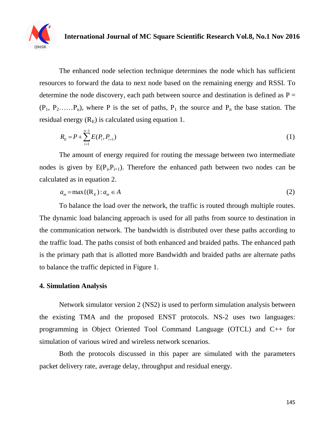

The enhanced node selection technique determines the node which has sufficient resources to forward the data to next node based on the remaining energy and RSSI. To determine the node discovery, each path between source and destination is defined as  $P =$  $(P_1, P_2, \ldots, P_n)$ , where P is the set of paths,  $P_1$  the source and  $P_n$  the base station. The residual energy  $(R<sub>E</sub>)$  is calculated using equation 1.

$$
R_E = P + \sum_{i=1}^{n-1} E(P_i, P_{i+1})
$$
\n(1)

The amount of energy required for routing the message between two intermediate nodes is given by  $E(P_i, P_{i+1})$ . Therefore the enhanced path between two nodes can be calculated as in equation 2.

$$
a_m = \max\{(\mathbf{R}_E) : a_m \in A \tag{2}
$$

To balance the load over the network, the traffic is routed through multiple routes. The dynamic load balancing approach is used for all paths from source to destination in the communication network. The bandwidth is distributed over these paths according to the traffic load. The paths consist of both enhanced and braided paths. The enhanced path is the primary path that is allotted more Bandwidth and braided paths are alternate paths to balance the traffic depicted in Figure 1.

#### **4. Simulation Analysis**

Network simulator version 2 (NS2) is used to perform simulation analysis between the existing TMA and the proposed ENST protocols. NS-2 uses two languages: programming in Object Oriented Tool Command Language (OTCL) and C++ for simulation of various wired and wireless network scenarios.

Both the protocols discussed in this paper are simulated with the parameters packet delivery rate, average delay, throughput and residual energy.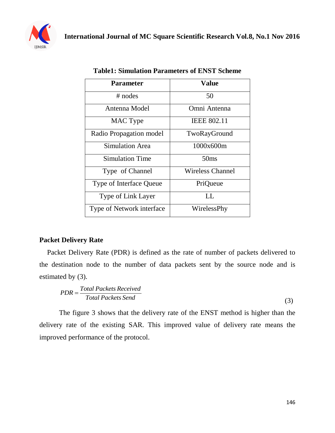

| <b>Parameter</b>          | <b>Value</b>            |
|---------------------------|-------------------------|
| $#$ nodes                 | 50                      |
| Antenna Model             | Omni Antenna            |
| MAC Type                  | <b>IEEE 802.11</b>      |
| Radio Propagation model   | TwoRayGround            |
| <b>Simulation Area</b>    | 1000x600m               |
| <b>Simulation Time</b>    | 50 <sub>ms</sub>        |
| Type of Channel           | <b>Wireless Channel</b> |
| Type of Interface Queue   | PriQueue                |
| <b>Type of Link Layer</b> | LL.                     |
| Type of Network interface | WirelessPhy             |

**Table1: Simulation Parameters of ENST Scheme**

## **Packet Delivery Rate**

Packet Delivery Rate (PDR) is defined as the rate of number of packets delivered to the destination node to the number of data packets sent by the source node and is estimated by  $(3)$ .

$$
PDR = \frac{Total \text{ Packets} \text{Received}}{\text{Total Packets} \text{ Send}}
$$
\n(3)

The figure 3 shows that the delivery rate of the ENST method is higher than the delivery rate of the existing SAR. This improved value of delivery rate means the improved performance of the protocol.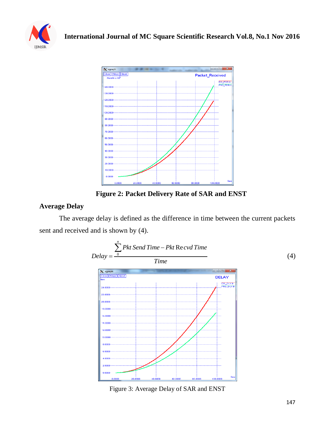



**Figure 2: Packet Delivery Rate of SAR and ENST**

# **Average Delay**

The average delay is defined as the difference in time between the current packets sent and received and is shown by (4).



Figure 3: Average Delay of SAR and ENST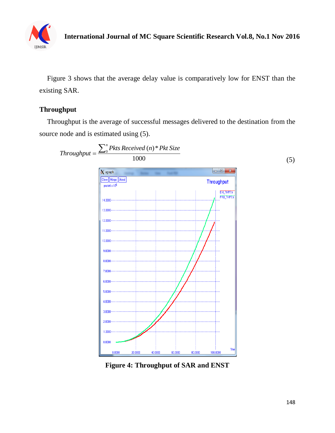

**International Journal of MC Square Scientific Research Vol.8, No.1 Nov 2016**

Figure 3 shows that the average delay value is comparatively low for ENST than the existing SAR.

# **Throughput**

Throughput is the average of successful messages delivered to the destination from the source node and is estimated using (5).



**Figure 4: Throughput of SAR and ENST**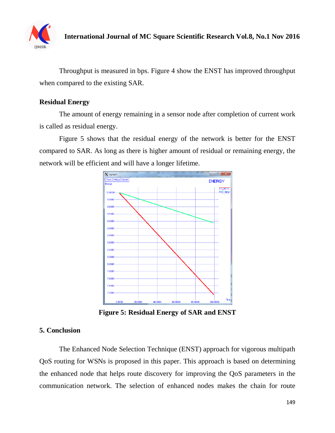

Throughput is measured in bps. Figure 4 show the ENST has improved throughput when compared to the existing SAR.

## **Residual Energy**

The amount of energy remaining in a sensor node after completion of current work is called as residual energy.

Figure 5 shows that the residual energy of the network is better for the ENST compared to SAR. As long as there is higher amount of residual or remaining energy, the network will be efficient and will have a longer lifetime.



**Figure 5: Residual Energy of SAR and ENST**

## **5. Conclusion**

The Enhanced Node Selection Technique (ENST) approach for vigorous multipath QoS routing for WSNs is proposed in this paper. This approach is based on determining the enhanced node that helps route discovery for improving the QoS parameters in the communication network. The selection of enhanced nodes makes the chain for route